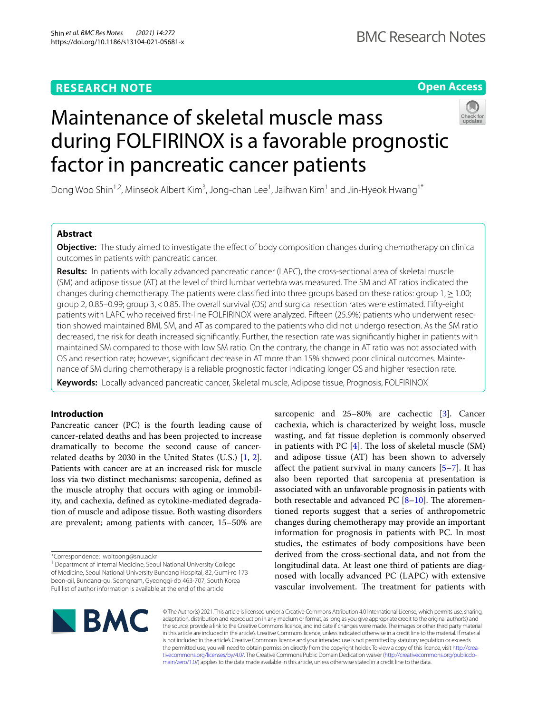## **RESEARCH NOTE**

## **Open Access**

# Maintenance of skeletal muscle mass during FOLFIRINOX is a favorable prognostic factor in pancreatic cancer patients

Dong Woo Shin<sup>1,2</sup>, Minseok Albert Kim<sup>3</sup>, Jong-chan Lee<sup>1</sup>, Jaihwan Kim<sup>1</sup> and Jin-Hyeok Hwang<sup>1\*</sup>

## **Abstract**

**Objective:** The study aimed to investigate the efect of body composition changes during chemotherapy on clinical outcomes in patients with pancreatic cancer.

**Results:** In patients with locally advanced pancreatic cancer (LAPC), the cross-sectional area of skeletal muscle (SM) and adipose tissue (AT) at the level of third lumbar vertebra was measured. The SM and AT ratios indicated the changes during chemotherapy. The patients were classifed into three groups based on these ratios: group 1,≥1.00; group 2, 0.85–0.99; group 3,<0.85. The overall survival (OS) and surgical resection rates were estimated. Fifty-eight patients with LAPC who received first-line FOLFIRINOX were analyzed. Fifteen (25.9%) patients who underwent resection showed maintained BMI, SM, and AT as compared to the patients who did not undergo resection. As the SM ratio decreased, the risk for death increased signifcantly. Further, the resection rate was signifcantly higher in patients with maintained SM compared to those with low SM ratio. On the contrary, the change in AT ratio was not associated with OS and resection rate; however, signifcant decrease in AT more than 15% showed poor clinical outcomes. Mainte‑ nance of SM during chemotherapy is a reliable prognostic factor indicating longer OS and higher resection rate.

**Keywords:** Locally advanced pancreatic cancer, Skeletal muscle, Adipose tissue, Prognosis, FOLFIRINOX

## **Introduction**

Pancreatic cancer (PC) is the fourth leading cause of cancer-related deaths and has been projected to increase dramatically to become the second cause of cancerrelated deaths by 2030 in the United States (U.S.) [[1,](#page-5-0) [2](#page-5-1)]. Patients with cancer are at an increased risk for muscle loss via two distinct mechanisms: sarcopenia, defned as the muscle atrophy that occurs with aging or immobility, and cachexia, defned as cytokine-mediated degradation of muscle and adipose tissue. Both wasting disorders are prevalent; among patients with cancer, 15–50% are

sarcopenic and 25–80% are cachectic [[3\]](#page-5-2). Cancer cachexia, which is characterized by weight loss, muscle wasting, and fat tissue depletion is commonly observed in patients with PC  $[4]$  $[4]$ . The loss of skeletal muscle  $(SM)$ and adipose tissue (AT) has been shown to adversely afect the patient survival in many cancers [\[5](#page-5-4)[–7](#page-5-5)]. It has also been reported that sarcopenia at presentation is associated with an unfavorable prognosis in patients with both resectable and advanced PC  $[8-10]$  $[8-10]$ . The aforementioned reports suggest that a series of anthropometric changes during chemotherapy may provide an important information for prognosis in patients with PC. In most studies, the estimates of body compositions have been derived from the cross-sectional data, and not from the longitudinal data. At least one third of patients are diagnosed with locally advanced PC (LAPC) with extensive vascular involvement. The treatment for patients with



© The Author(s) 2021. This article is licensed under a Creative Commons Attribution 4.0 International License, which permits use, sharing, adaptation, distribution and reproduction in any medium or format, as long as you give appropriate credit to the original author(s) and the source, provide a link to the Creative Commons licence, and indicate if changes were made. The images or other third party material in this article are included in the article's Creative Commons licence, unless indicated otherwise in a credit line to the material. If material is not included in the article's Creative Commons licence and your intended use is not permitted by statutory regulation or exceeds the permitted use, you will need to obtain permission directly from the copyright holder. To view a copy of this licence, visit http://crea[tivecommons.org/licenses/by/4.0/.](http://creativecommons.org/licenses/by/4.0/) The Creative Commons Public Domain Dedication waiver (http://creativecommons.org/publicdo[main/zero/1.0/\)](http://creativecommons.org/publicdomain/zero/1.0/) applies to the data made available in this article, unless otherwise stated in a credit line to the data.

<sup>\*</sup>Correspondence: woltoong@snu.ac.kr

<sup>&</sup>lt;sup>1</sup> Department of Internal Medicine, Seoul National University College of Medicine, Seoul National University Bundang Hospital, 82, Gumi‑ro 173 beon‑gil, Bundang‑gu, Seongnam, Gyeonggi‑do 463‑707, South Korea Full list of author information is available at the end of the article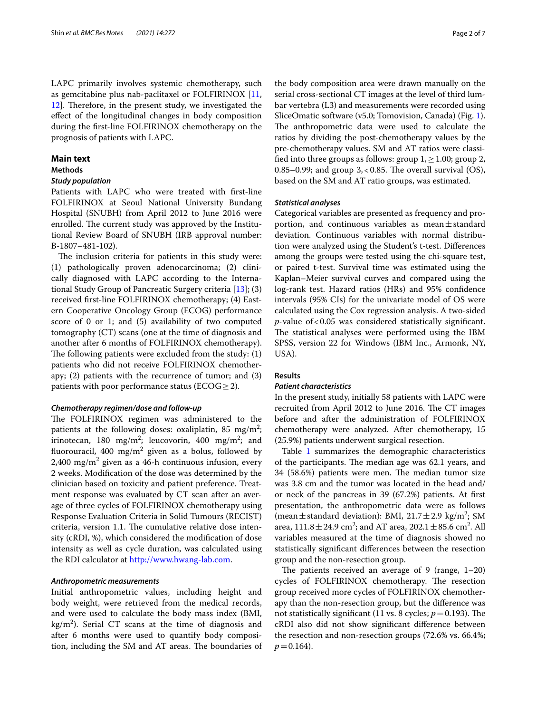LAPC primarily involves systemic chemotherapy, such as gemcitabine plus nab-paclitaxel or FOLFIRINOX [\[11](#page-5-8), [12\]](#page-5-9). Therefore, in the present study, we investigated the efect of the longitudinal changes in body composition during the frst-line FOLFIRINOX chemotherapy on the prognosis of patients with LAPC.

#### **Main text**

#### **Methods**

### *Study population*

Patients with LAPC who were treated with frst-line FOLFIRINOX at Seoul National University Bundang Hospital (SNUBH) from April 2012 to June 2016 were enrolled. The current study was approved by the Institutional Review Board of SNUBH (IRB approval number: B-1807–481-102).

The inclusion criteria for patients in this study were: (1) pathologically proven adenocarcinoma; (2) clinically diagnosed with LAPC according to the International Study Group of Pancreatic Surgery criteria [[13\]](#page-5-10); (3) received frst-line FOLFIRINOX chemotherapy; (4) Eastern Cooperative Oncology Group (ECOG) performance score of 0 or 1; and (5) availability of two computed tomography (CT) scans (one at the time of diagnosis and another after 6 months of FOLFIRINOX chemotherapy). The following patients were excluded from the study:  $(1)$ patients who did not receive FOLFIRINOX chemotherapy; (2) patients with the recurrence of tumor; and (3) patients with poor performance status ( $ECOG \geq 2$ ).

#### *Chemotherapy regimen/dose and follow‑up*

The FOLFIRINOX regimen was administered to the patients at the following doses: oxaliplatin, 85  $\text{mg/m}^2$ ; irinotecan, 180 mg/m<sup>2</sup>; leucovorin, 400 mg/m<sup>2</sup>; and fluorouracil, 400 mg/m $^2$  given as a bolus, followed by 2,400 mg/m<sup>2</sup> given as a 46-h continuous infusion, every 2 weeks. Modifcation of the dose was determined by the clinician based on toxicity and patient preference. Treatment response was evaluated by CT scan after an average of three cycles of FOLFIRINOX chemotherapy using Response Evaluation Criteria in Solid Tumours (RECIST) criteria, version 1.1. The cumulative relative dose intensity (cRDI, %), which considered the modifcation of dose intensity as well as cycle duration, was calculated using the RDI calculator at [http://www.hwang-lab.com.](http://www.hwang-lab.com)

#### *Anthropometric measurements*

Initial anthropometric values, including height and body weight, were retrieved from the medical records, and were used to calculate the body mass index (BMI,  $\text{kg/m}^2$ ). Serial CT scans at the time of diagnosis and after 6 months were used to quantify body composition, including the SM and AT areas. The boundaries of

the body composition area were drawn manually on the serial cross-sectional CT images at the level of third lumbar vertebra (L3) and measurements were recorded using SliceOmatic software (v5.0; Tomovision, Canada) (Fig. [1](#page-2-0)). The anthropometric data were used to calculate the ratios by dividing the post-chemotherapy values by the pre-chemotherapy values. SM and AT ratios were classified into three groups as follows: group  $1, \geq 1.00$ ; group 2, 0.85–0.99; and group  $3, < 0.85$ . The overall survival (OS), based on the SM and AT ratio groups, was estimated.

#### *Statistical analyses*

Categorical variables are presented as frequency and proportion, and continuous variables as mean $\pm$ standard deviation. Continuous variables with normal distribution were analyzed using the Student's t-test. Diferences among the groups were tested using the chi-square test, or paired t-test. Survival time was estimated using the Kaplan–Meier survival curves and compared using the log-rank test. Hazard ratios (HRs) and 95% confdence intervals (95% CIs) for the univariate model of OS were calculated using the Cox regression analysis. A two-sided *p*-value of<0.05 was considered statistically signifcant. The statistical analyses were performed using the IBM SPSS, version 22 for Windows (IBM Inc., Armonk, NY, USA).

#### **Results**

#### *Patient characteristics*

In the present study, initially 58 patients with LAPC were recruited from April 2012 to June 2016. The CT images before and after the administration of FOLFIRINOX chemotherapy were analyzed. After chemotherapy, 15 (25.9%) patients underwent surgical resection.

Table [1](#page-3-0) summarizes the demographic characteristics of the participants. The median age was 62.1 years, and 34 (58.6%) patients were men. The median tumor size was 3.8 cm and the tumor was located in the head and/ or neck of the pancreas in 39 (67.2%) patients. At frst presentation, the anthropometric data were as follows (mean  $\pm$  standard deviation): BMI, 21.7  $\pm$  2.9 kg/m<sup>2</sup>; SM area,  $111.8 \pm 24.9 \text{ cm}^2$ ; and AT area,  $202.1 \pm 85.6 \text{ cm}^2$ . All variables measured at the time of diagnosis showed no statistically signifcant diferences between the resection group and the non-resection group.

The patients received an average of 9 (range,  $1-20$ ) cycles of FOLFIRINOX chemotherapy. The resection group received more cycles of FOLFIRINOX chemotherapy than the non-resection group, but the diference was not statistically significant (11 vs. 8 cycles;  $p = 0.193$ ). The cRDI also did not show signifcant diference between the resection and non-resection groups (72.6% vs. 66.4%;  $p = 0.164$ .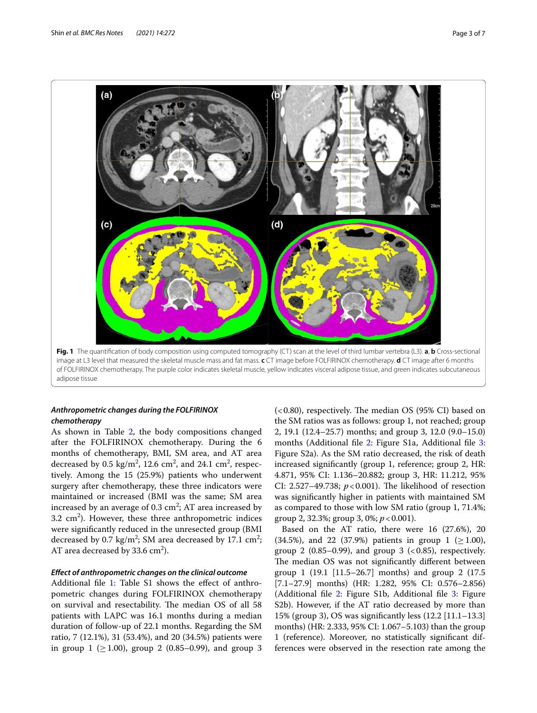

## <span id="page-2-0"></span>*Anthropometric changes during the FOLFIRINOX chemotherapy*

As shown in Table [2,](#page-3-1) the body compositions changed after the FOLFIRINOX chemotherapy. During the 6 months of chemotherapy, BMI, SM area, and AT area decreased by 0.5 kg/m<sup>2</sup>, 12.6 cm<sup>2</sup>, and 24.1 cm<sup>2</sup>, respectively. Among the 15 (25.9%) patients who underwent surgery after chemotherapy, these three indicators were maintained or increased (BMI was the same; SM area increased by an average of 0.3 cm $^2$ ; AT area increased by  $3.2 \text{ cm}^2$ ). However, these three anthropometric indices were signifcantly reduced in the unresected group (BMI decreased by 0.7 kg/m<sup>2</sup>; SM area decreased by 17.1 cm<sup>2</sup>; AT area decreased by 33.6  $\text{cm}^2$ ).

#### *Efect of anthropometric changes on the clinical outcome*

Additional file [1](#page-4-0): Table S1 shows the effect of anthropometric changes during FOLFIRINOX chemotherapy on survival and resectability. The median OS of all 58 patients with LAPC was 16.1 months during a median duration of follow-up of 22.1 months. Regarding the SM ratio, 7 (12.1%), 31 (53.4%), and 20 (34.5%) patients were in group  $1$  ( $\geq 1.00$ ), group 2 (0.85–0.99), and group 3  $( $0.80$ ), respectively. The median OS (95% CI) based on$ the SM ratios was as follows: group 1, not reached; group 2, 19.1 (12.4–25.7) months; and group 3, 12.0 (9.0–15.0) months (Additional fle [2](#page-4-1): Figure S1a, Additional fle [3](#page-4-2): Figure S2a). As the SM ratio decreased, the risk of death increased signifcantly (group 1, reference; group 2, HR: 4.871, 95% CI: 1.136–20.882; group 3, HR: 11.212, 95% CI: 2.527-49.738;  $p < 0.001$ ). The likelihood of resection was signifcantly higher in patients with maintained SM as compared to those with low SM ratio (group 1, 71.4%; group 2, 32.3%; group 3, 0%; *p*<0.001).

Based on the AT ratio, there were 16 (27.6%), 20 (34.5%), and 22 (37.9%) patients in group 1 ( $\geq$  1.00), group 2 (0.85–0.99), and group 3  $\langle$  < 0.85), respectively. The median OS was not significantly different between group 1 (19.1 [11.5–26.7] months) and group 2 (17.5 [7.1–27.9] months) (HR: 1.282, 95% CI: 0.576–2.856) (Additional file [2:](#page-4-1) Figure S1b, Additional file [3](#page-4-2): Figure S2b). However, if the AT ratio decreased by more than 15% (group 3), OS was signifcantly less (12.2 [11.1–13.3] months) (HR: 2.333, 95% CI: 1.067–5.103) than the group 1 (reference). Moreover, no statistically signifcant differences were observed in the resection rate among the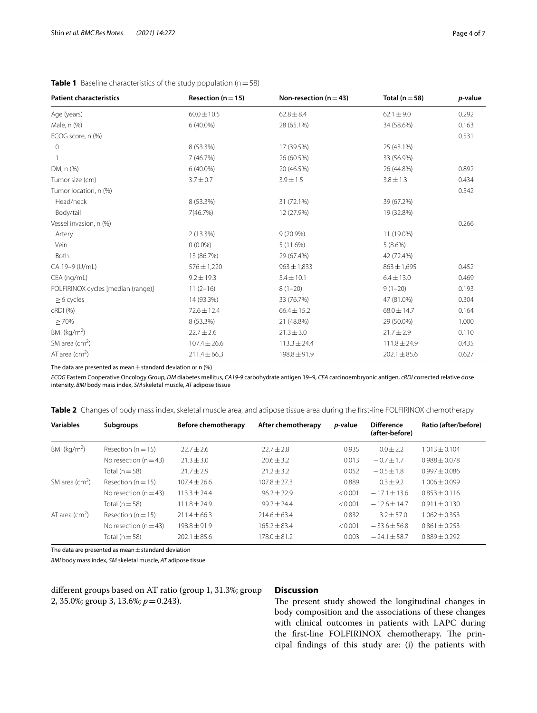| <b>Patient characteristics</b>     | Resection ( $n = 15$ ) | Non-resection ( $n = 43$ ) | Total ( $n = 58$ ) | <i>p</i> -value |
|------------------------------------|------------------------|----------------------------|--------------------|-----------------|
| Age (years)                        | $60.0 \pm 10.5$        | $62.8 \pm 8.4$             | $62.1 \pm 9.0$     | 0.292           |
| Male, n (%)                        | $6(40.0\%)$            | 28 (65.1%)                 | 34 (58.6%)         | 0.163           |
| ECOG score, n (%)                  |                        |                            |                    | 0.531           |
| $\mathbf{0}$                       | 8 (53.3%)              | 17 (39.5%)                 | 25 (43.1%)         |                 |
|                                    | 7 (46.7%)              | 26 (60.5%)                 | 33 (56.9%)         |                 |
| DM, n (%)                          | $6(40.0\%)$            | 20 (46.5%)                 | 26 (44.8%)         | 0.892           |
| Tumor size (cm)                    | $3.7 \pm 0.7$          | $3.9 \pm 1.5$              | $3.8 \pm 1.3$      | 0.434           |
| Tumor location, n (%)              |                        |                            |                    | 0.542           |
| Head/neck                          | 8 (53.3%)              | 31 (72.1%)                 | 39 (67.2%)         |                 |
| Body/tail                          | 7(46.7%)               | 12 (27.9%)                 | 19 (32.8%)         |                 |
| Vessel invasion, n (%)             |                        |                            |                    | 0.266           |
| Artery                             | 2(13.3%)               | $9(20.9\%)$                | 11 (19.0%)         |                 |
| Vein                               | $0(0.0\%)$             | 5(11.6%)                   | 5(8.6%)            |                 |
| Both                               | 13 (86.7%)             | 29 (67.4%)                 | 42 (72.4%)         |                 |
| CA 19-9 (U/mL)                     | $576 \pm 1,220$        | $963 \pm 1,833$            | $863 \pm 1,695$    | 0.452           |
| CEA (ng/mL)                        | $9.2 \pm 19.3$         | $5.4 \pm 10.1$             | $6.4 \pm 13.0$     | 0.469           |
| FOLFIRINOX cycles [median (range)] | $11(2-16)$             | $8(1-20)$                  | $9(1-20)$          | 0.193           |
| $\geq 6$ cycles                    | 14 (93.3%)             | 33 (76.7%)                 | 47 (81.0%)         | 0.304           |
| cRDI (%)                           | $72.6 \pm 12.4$        | $66.4 \pm 15.2$            | $68.0 \pm 14.7$    | 0.164           |
| >70%                               | 8 (53.3%)              | 21 (48.8%)                 | 29 (50.0%)         | 1.000           |
| BMI ( $kg/m2$ )                    | $22.7 \pm 2.6$         | $21.3 \pm 3.0$             | $21.7 \pm 2.9$     | 0.110           |
| SM area $(cm2)$                    | $107.4 \pm 26.6$       | $113.3 \pm 24.4$           | $111.8 \pm 24.9$   | 0.435           |
| AT area ( $cm2$ )                  | $211.4 \pm 66.3$       | 198.8 ± 91.9               | $202.1 \pm 85.6$   | 0.627           |

<span id="page-3-0"></span>**Table 1** Baseline characteristics of the study population (n = 58)

The data are presented as mean  $\pm$  standard deviation or n (%)

*ECOG* Eastern Cooperative Oncology Group, *DM* diabetes mellitus, *CA19-9* carbohydrate antigen 19–9, *CEA* carcinoembryonic antigen, *cRDI* corrected relative dose intensity, *BMI* body mass index, *SM* skeletal muscle, *AT* adipose tissue

<span id="page-3-1"></span>

|  |  |  | Table 2 Changes of body mass index, skeletal muscle area, and adipose tissue area during the first-line FOLFIRINOX chemotherapy |
|--|--|--|---------------------------------------------------------------------------------------------------------------------------------|
|  |  |  |                                                                                                                                 |

| <b>Variables</b>               | <b>Subgroups</b>       | Before chemotherapy | After chemotherapy | <i>p</i> -value | <b>Difference</b><br>(after-before) | Ratio (after/before) |
|--------------------------------|------------------------|---------------------|--------------------|-----------------|-------------------------------------|----------------------|
| BMI ( $kg/m2$ )                | Resection ( $n = 15$ ) | $22.7 + 2.6$        | $22.7 \pm 2.8$     | 0.935           | $0.0 + 2.2$                         | $1.013 \pm 0.104$    |
|                                | No resection $(n=43)$  | $21.3 \pm 3.0$      | $20.6 \pm 3.2$     | 0.013           | $-0.7 + 1.7$                        | $0.988 + 0.078$      |
|                                | Total $(n=58)$         | $21.7 \pm 2.9$      | $21.2 \pm 3.2$     | 0.052           | $-0.5 \pm 1.8$                      | $0.997 \pm 0.086$    |
| SM area $(cm2)$                | Resection $(n = 15)$   | $107.4 \pm 26.6$    | $107.8 \pm 27.3$   | 0.889           | $0.3 \pm 9.2$                       | $1.006 \pm 0.099$    |
|                                | No resection $(n=43)$  | $113.3 + 24.4$      | $96.2 + 22.9$      | < 0.001         | $-17.1 \pm 13.6$                    | $0.853 + 0.116$      |
|                                | Total $(n=58)$         | $111.8 \pm 24.9$    | $99.2 + 24.4$      | < 0.001         | $-12.6 \pm 14.7$                    | $0.911 \pm 0.130$    |
| AT area $\text{(cm}^2\text{)}$ | Resection $(n = 15)$   | $211.4 \pm 66.3$    | $214.6 \pm 63.4$   | 0.832           | $3.2 \pm 57.0$                      | $1.062 \pm 0.353$    |
|                                | No resection $(n=43)$  | $198.8 + 91.9$      | $165.2 \pm 83.4$   | < 0.001         | $-33.6 + 56.8$                      | $0.861 \pm 0.253$    |
|                                | Total ( $n = 58$ )     | $202.1 \pm 85.6$    | $178.0 \pm 81.2$   | 0.003           | $-24.1 \pm 58.7$                    | $0.889 \pm 0.292$    |

The data are presented as mean $\pm$ standard deviation

*BMI* body mass index, *SM* skeletal muscle, *AT* adipose tissue

diferent groups based on AT ratio (group 1, 31.3%; group 2, 35.0%; group 3, 13.6%; *p*=0.243).

### **Discussion**

The present study showed the longitudinal changes in body composition and the associations of these changes with clinical outcomes in patients with LAPC during the first-line FOLFIRINOX chemotherapy. The principal fndings of this study are: (i) the patients with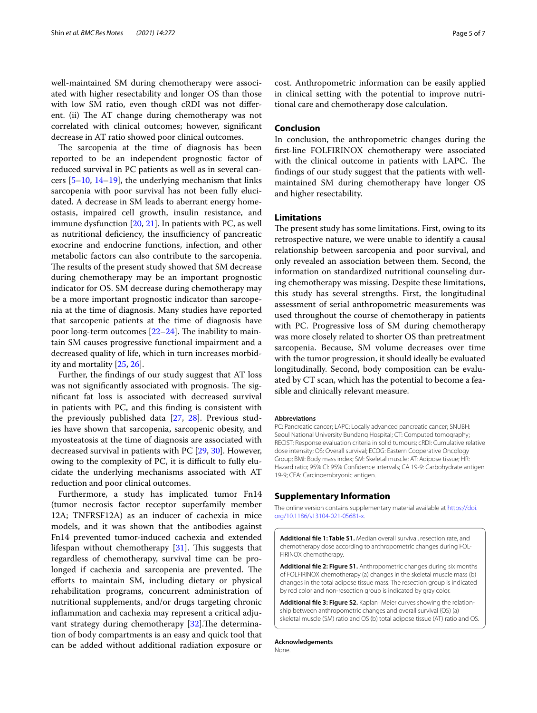well-maintained SM during chemotherapy were associated with higher resectability and longer OS than those with low SM ratio, even though cRDI was not diferent. (ii) The AT change during chemotherapy was not correlated with clinical outcomes; however, signifcant decrease in AT ratio showed poor clinical outcomes.

The sarcopenia at the time of diagnosis has been reported to be an independent prognostic factor of reduced survival in PC patients as well as in several cancers [\[5](#page-5-4)–[10,](#page-5-7) [14–](#page-5-11)[19\]](#page-5-12), the underlying mechanism that links sarcopenia with poor survival has not been fully elucidated. A decrease in SM leads to aberrant energy homeostasis, impaired cell growth, insulin resistance, and immune dysfunction [\[20](#page-5-13), [21\]](#page-5-14). In patients with PC, as well as nutritional deficiency, the insufficiency of pancreatic exocrine and endocrine functions, infection, and other metabolic factors can also contribute to the sarcopenia. The results of the present study showed that SM decrease during chemotherapy may be an important prognostic indicator for OS. SM decrease during chemotherapy may be a more important prognostic indicator than sarcopenia at the time of diagnosis. Many studies have reported that sarcopenic patients at the time of diagnosis have poor long-term outcomes  $[22-24]$  $[22-24]$ . The inability to maintain SM causes progressive functional impairment and a decreased quality of life, which in turn increases morbidity and mortality [\[25](#page-6-0), [26\]](#page-6-1).

Further, the fndings of our study suggest that AT loss was not significantly associated with prognosis. The signifcant fat loss is associated with decreased survival in patients with PC, and this fnding is consistent with the previously published data [[27,](#page-6-2) [28\]](#page-6-3). Previous studies have shown that sarcopenia, sarcopenic obesity, and myosteatosis at the time of diagnosis are associated with decreased survival in patients with PC [[29](#page-6-4), [30](#page-6-5)]. However, owing to the complexity of PC, it is difficult to fully elucidate the underlying mechanisms associated with AT reduction and poor clinical outcomes.

Furthermore, a study has implicated tumor Fn14 (tumor necrosis factor receptor superfamily member 12A; TNFRSF12A) as an inducer of cachexia in mice models, and it was shown that the antibodies against Fn14 prevented tumor-induced cachexia and extended lifespan without chemotherapy  $[31]$  $[31]$ . This suggests that regardless of chemotherapy, survival time can be prolonged if cachexia and sarcopenia are prevented. The eforts to maintain SM, including dietary or physical rehabilitation programs, concurrent administration of nutritional supplements, and/or drugs targeting chronic infammation and cachexia may represent a critical adju-vant strategy during chemotherapy [\[32\]](#page-6-7). The determination of body compartments is an easy and quick tool that can be added without additional radiation exposure or

cost. Anthropometric information can be easily applied in clinical setting with the potential to improve nutritional care and chemotherapy dose calculation.

#### **Conclusion**

In conclusion, the anthropometric changes during the frst-line FOLFIRINOX chemotherapy were associated with the clinical outcome in patients with LAPC. The fndings of our study suggest that the patients with wellmaintained SM during chemotherapy have longer OS and higher resectability.

#### **Limitations**

The present study has some limitations. First, owing to its retrospective nature, we were unable to identify a causal relationship between sarcopenia and poor survival, and only revealed an association between them. Second, the information on standardized nutritional counseling during chemotherapy was missing. Despite these limitations, this study has several strengths. First, the longitudinal assessment of serial anthropometric measurements was used throughout the course of chemotherapy in patients with PC. Progressive loss of SM during chemotherapy was more closely related to shorter OS than pretreatment sarcopenia. Because, SM volume decreases over time with the tumor progression, it should ideally be evaluated longitudinally. Second, body composition can be evaluated by CT scan, which has the potential to become a feasible and clinically relevant measure.

#### **Abbreviations**

PC: Pancreatic cancer; LAPC: Locally advanced pancreatic cancer; SNUBH: Seoul National University Bundang Hospital; CT: Computed tomography; RECIST: Response evaluation criteria in solid tumours; cRDI: Cumulative relative dose intensity; OS: Overall survival; ECOG: Eastern Cooperative Oncology Group; BMI: Body mass index; SM: Skeletal muscle; AT: Adipose tissue; HR: Hazard ratio; 95% CI: 95% Confdence intervals; CA 19-9: Carbohydrate antigen 19-9; CEA: Carcinoembryonic antigen.

#### **Supplementary Information**

The online version contains supplementary material available at [https://doi.](https://doi.org/10.1186/s13104-021-05681-x) [org/10.1186/s13104-021-05681-x.](https://doi.org/10.1186/s13104-021-05681-x)

<span id="page-4-0"></span>**Additional fle 1: Table S1.** Median overall survival, resection rate, and chemotherapy dose according to anthropometric changes during FOL-FIRINOX chemotherapy.

<span id="page-4-1"></span>**Additional fle 2: Figure S1.** Anthropometric changes during six months of FOLFIRINOX chemotherapy (a) changes in the skeletal muscle mass (b) changes in the total adipose tissue mass. The resection group is indicated by red color and non-resection group is indicated by gray color.

<span id="page-4-2"></span>Additional file 3: Figure S2. Kaplan–Meier curves showing the relationship between anthropometric changes and overall survival (OS) (a) skeletal muscle (SM) ratio and OS (b) total adipose tissue (AT) ratio and OS.

**Acknowledgements** None.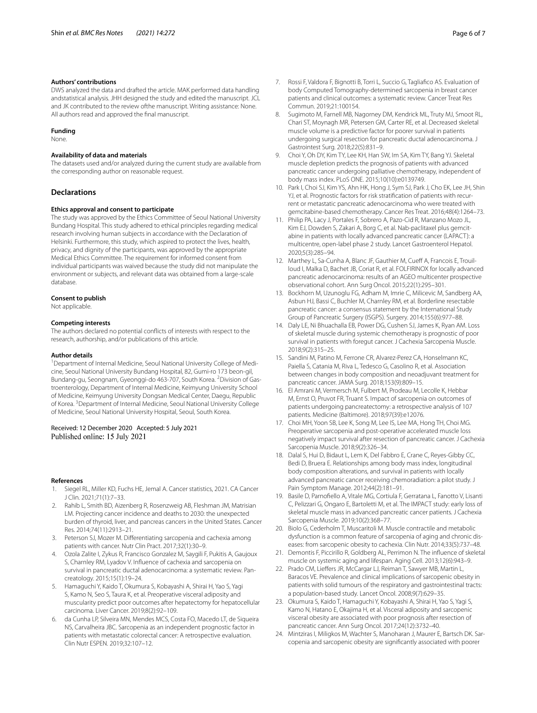#### **Authors' contributions**

DWS analyzed the data and drafted the article. MAK performed data handling andstatistical analysis. JHH designed the study and edited the manuscript. JCL and JK contributed to the review ofthe manuscript. Writing assistance: None. All authors read and approved the fnal manuscript.

#### **Funding**

None.

#### **Availability of data and materials**

The datasets used and/or analyzed during the current study are available from the corresponding author on reasonable request.

#### **Declarations**

#### **Ethics approval and consent to participate**

The study was approved by the Ethics Committee of Seoul National University Bundang Hospital. This study adhered to ethical principles regarding medical research involving human subjects in accordance with the Declaration of Helsinki. Furthermore, this study, which aspired to protect the lives, health, privacy, and dignity of the participants, was approved by the appropriate Medical Ethics Committee. The requirement for informed consent from individual participants was waived because the study did not manipulate the environment or subjects, and relevant data was obtained from a large-scale database.

#### **Consent to publish**

Not applicable.

#### **Competing interests**

The authors declared no potential conficts of interests with respect to the research, authorship, and/or publications of this article.

#### **Author details**

<sup>1</sup> Department of Internal Medicine, Seoul National University College of Medicine, Seoul National University Bundang Hospital, 82, Gumi-ro 173 beon-gil, Bundang-gu, Seongnam, Gyeonggi-do 463-707, South Korea. <sup>2</sup> Division of Gastroenterology, Department of Internal Medicine, Keimyung University School of Medicine, Keimyung University Dongsan Medical Center, Daegu, Republic of Korea. <sup>3</sup> Department of Internal Medicine, Seoul National University College of Medicine, Seoul National University Hospital, Seoul, South Korea.

#### Received: 12 December 2020 Accepted: 5 July 2021 Published online: 15 July 2021

#### **References**

- <span id="page-5-0"></span>1. Siegel RL, Miller KD, Fuchs HE, Jemal A. Cancer statistics, 2021. CA Cancer J Clin. 2021;71(1):7–33.
- <span id="page-5-1"></span>2. Rahib L, Smith BD, Aizenberg R, Rosenzweig AB, Fleshman JM, Matrisian LM. Projecting cancer incidence and deaths to 2030: the unexpected burden of thyroid, liver, and pancreas cancers in the United States. Cancer Res. 2014;74(11):2913–21.
- <span id="page-5-2"></span>3. Peterson SJ, Mozer M. Diferentiating sarcopenia and cachexia among patients with cancer. Nutr Clin Pract. 2017;32(1):30–9.
- <span id="page-5-3"></span>4. Ozola Zalite I, Zykus R, Francisco Gonzalez M, Saygili F, Pukitis A, Gaujoux S, Charnley RM, Lyadov V. Infuence of cachexia and sarcopenia on survival in pancreatic ductal adenocarcinoma: a systematic review. Pancreatology. 2015;15(1):19–24.
- <span id="page-5-4"></span>5. Hamaguchi Y, Kaido T, Okumura S, Kobayashi A, Shirai H, Yao S, Yagi S, Kamo N, Seo S, Taura K, et al. Preoperative visceral adiposity and muscularity predict poor outcomes after hepatectomy for hepatocellular carcinoma. Liver Cancer. 2019;8(2):92–109.
- 6. da Cunha LP, Silveira MN, Mendes MCS, Costa FO, Macedo LT, de Siqueira NS, Carvalheira JBC. Sarcopenia as an independent prognostic factor in patients with metastatic colorectal cancer: A retrospective evaluation. Clin Nutr ESPEN. 2019;32:107–12.
- <span id="page-5-5"></span>7. Rossi F, Valdora F, Bignotti B, Torri L, Succio G, Tagliafco AS. Evaluation of body Computed Tomography-determined sarcopenia in breast cancer patients and clinical outcomes: a systematic review. Cancer Treat Res Commun. 2019;21:100154.
- <span id="page-5-6"></span>8. Sugimoto M, Farnell MB, Nagorney DM, Kendrick ML, Truty MJ, Smoot RL, Chari ST, Moynagh MR, Petersen GM, Carter RE, et al. Decreased skeletal muscle volume is a predictive factor for poorer survival in patients undergoing surgical resection for pancreatic ductal adenocarcinoma. J Gastrointest Surg. 2018;22(5):831–9.
- 9. Choi Y, Oh DY, Kim TY, Lee KH, Han SW, Im SA, Kim TY, Bang YJ. Skeletal muscle depletion predicts the prognosis of patients with advanced pancreatic cancer undergoing palliative chemotherapy, independent of body mass index. PLoS ONE. 2015;10(10):e0139749.
- <span id="page-5-7"></span>10. Park I, Choi SJ, Kim YS, Ahn HK, Hong J, Sym SJ, Park J, Cho EK, Lee JH, Shin YJ, et al. Prognostic factors for risk stratification of patients with recurrent or metastatic pancreatic adenocarcinoma who were treated with gemcitabine-based chemotherapy. Cancer Res Treat. 2016;48(4):1264–73.
- <span id="page-5-8"></span>11. Philip PA, Lacy J, Portales F, Sobrero A, Pazo-Cid R, Manzano Mozo JL, Kim EJ, Dowden S, Zakari A, Borg C, et al. Nab-paclitaxel plus gemcitabine in patients with locally advanced pancreatic cancer (LAPACT): a multicentre, open-label phase 2 study. Lancet Gastroenterol Hepatol. 2020;5(3):285–94.
- <span id="page-5-9"></span>12. Marthey L, Sa-Cunha A, Blanc JF, Gauthier M, Cueff A, Francois E, Trouilloud I, Malka D, Bachet JB, Coriat R, et al. FOLFIRINOX for locally advanced pancreatic adenocarcinoma: results of an AGEO multicenter prospective observational cohort. Ann Surg Oncol. 2015;22(1):295–301.
- <span id="page-5-10"></span>13. Bockhorn M, Uzunoglu FG, Adham M, Imrie C, Milicevic M, Sandberg AA, Asbun HJ, Bassi C, Buchler M, Charnley RM, et al. Borderline resectable pancreatic cancer: a consensus statement by the International Study Group of Pancreatic Surgery (ISGPS). Surgery. 2014;155(6):977–88.
- <span id="page-5-11"></span>14. Daly LE, Ni Bhuachalla EB, Power DG, Cushen SJ, James K, Ryan AM. Loss of skeletal muscle during systemic chemotherapy is prognostic of poor survival in patients with foregut cancer. J Cachexia Sarcopenia Muscle. 2018;9(2):315–25.
- 15. Sandini M, Patino M, Ferrone CR, Alvarez-Perez CA, Honselmann KC, Paiella S, Catania M, Riva L, Tedesco G, Casolino R, et al. Association between changes in body composition and neoadjuvant treatment for pancreatic cancer. JAMA Surg. 2018;153(9):809–15.
- 16. El Amrani M, Vermersch M, Fulbert M, Prodeau M, Lecolle K, Hebbar M, Ernst O, Pruvot FR, Truant S. Impact of sarcopenia on outcomes of patients undergoing pancreatectomy: a retrospective analysis of 107 patients. Medicine (Baltimore). 2018;97(39):e12076.
- 17. Choi MH, Yoon SB, Lee K, Song M, Lee IS, Lee MA, Hong TH, Choi MG. Preoperative sarcopenia and post-operative accelerated muscle loss negatively impact survival after resection of pancreatic cancer. J Cachexia Sarcopenia Muscle. 2018;9(2):326–34.
- 18. Dalal S, Hui D, Bidaut L, Lem K, Del Fabbro E, Crane C, Reyes-Gibby CC, Bedi D, Bruera E. Relationships among body mass index, longitudinal body composition alterations, and survival in patients with locally advanced pancreatic cancer receiving chemoradiation: a pilot study. J Pain Symptom Manage. 2012;44(2):181–91.
- <span id="page-5-12"></span>19. Basile D, Parnofello A, Vitale MG, Cortiula F, Gerratana L, Fanotto V, Lisanti C, Pelizzari G, Ongaro E, Bartoletti M, et al. The IMPACT study: early loss of skeletal muscle mass in advanced pancreatic cancer patients. J Cachexia Sarcopenia Muscle. 2019;10(2):368–77.
- <span id="page-5-13"></span>20. Biolo G, Cederholm T, Muscaritoli M. Muscle contractile and metabolic dysfunction is a common feature of sarcopenia of aging and chronic dis‑ eases: from sarcopenic obesity to cachexia. Clin Nutr. 2014;33(5):737–48.
- <span id="page-5-14"></span>21. Demontis F, Piccirillo R, Goldberg AL, Perrimon N. The infuence of skeletal muscle on systemic aging and lifespan. Aging Cell. 2013;12(6):943–9.
- <span id="page-5-15"></span>22. Prado CM, Lieffers JR, McCargar LJ, Reiman T, Sawyer MB, Martin L, Baracos VE. Prevalence and clinical implications of sarcopenic obesity in patients with solid tumours of the respiratory and gastrointestinal tracts: a population-based study. Lancet Oncol. 2008;9(7):629–35.
- 23. Okumura S, Kaido T, Hamaguchi Y, Kobayashi A, Shirai H, Yao S, Yagi S, Kamo N, Hatano E, Okajima H, et al. Visceral adiposity and sarcopenic visceral obesity are associated with poor prognosis after resection of pancreatic cancer. Ann Surg Oncol. 2017;24(12):3732–40.
- <span id="page-5-16"></span>24. Mintziras I, Miligkos M, Wachter S, Manoharan J, Maurer E, Bartsch DK. Sarcopenia and sarcopenic obesity are signifcantly associated with poorer